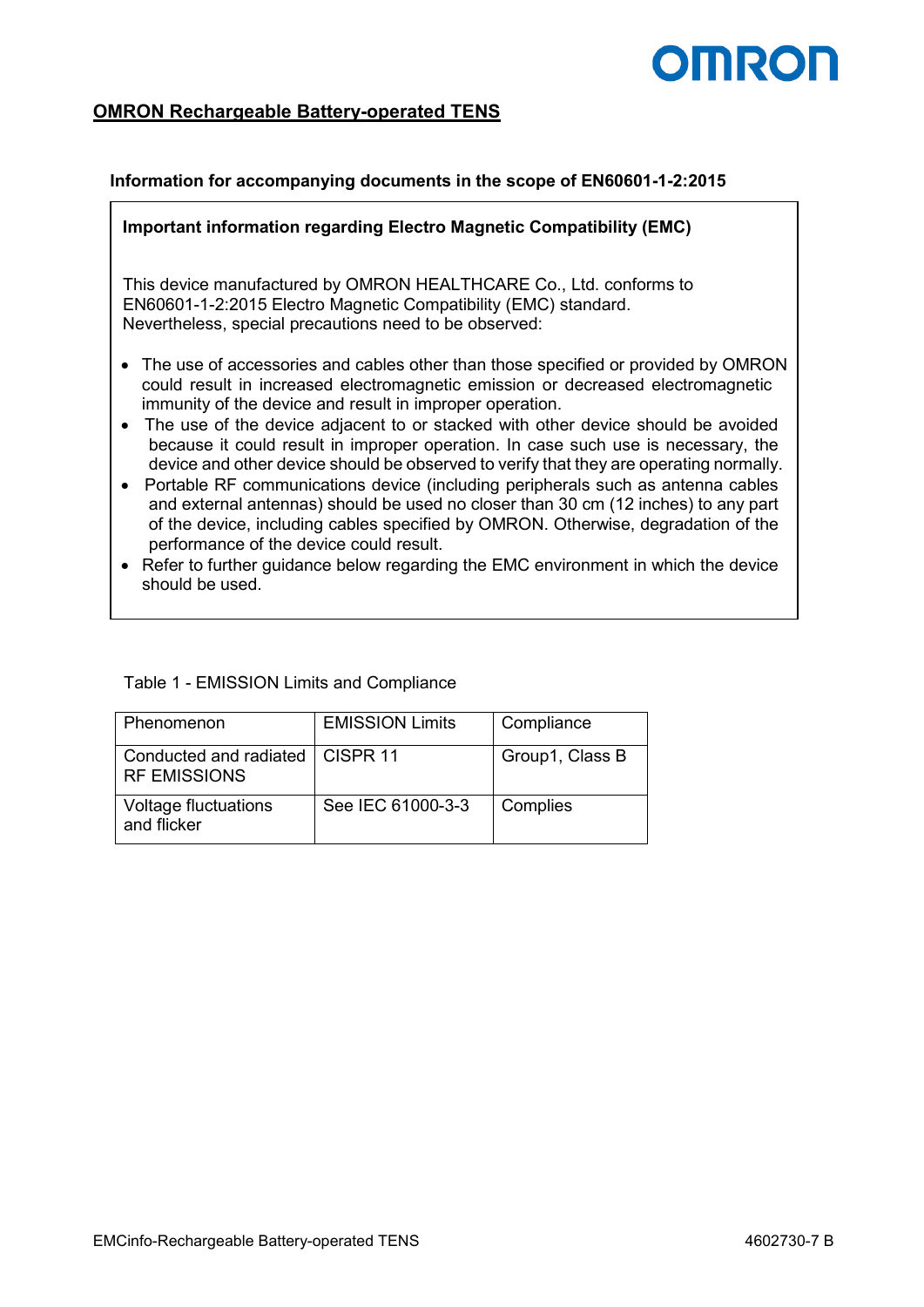## **OMROF**

### **OMRON Rechargeable Battery-operated TENS**

#### **Information for accompanying documents in the scope of EN60601-1-2:2015**

#### **Important information regarding Electro Magnetic Compatibility (EMC)**

This device manufactured by OMRON HEALTHCARE Co., Ltd. conforms to EN60601-1-2:2015 Electro Magnetic Compatibility (EMC) standard. Nevertheless, special precautions need to be observed:

- The use of accessories and cables other than those specified or provided by OMRON could result in increased electromagnetic emission or decreased electromagnetic immunity of the device and result in improper operation.
- The use of the device adiacent to or stacked with other device should be avoided because it could result in improper operation. In case such use is necessary, the device and other device should be observed to verify that they are operating normally.
- Portable RF communications device (including peripherals such as antenna cables and external antennas) should be used no closer than 30 cm (12 inches) to any part of the device, including cables specified by OMRON. Otherwise, degradation of the performance of the device could result.
- Refer to further guidance below regarding the EMC environment in which the device should be used.

#### Table 1 - EMISSION Limits and Compliance

| Phenomenon                                               | <b>EMISSION Limits</b> | Compliance      |
|----------------------------------------------------------|------------------------|-----------------|
| Conducted and radiated   CISPR 11<br><b>RF EMISSIONS</b> |                        | Group1, Class B |
| Voltage fluctuations<br>and flicker                      | See IEC 61000-3-3      | Complies        |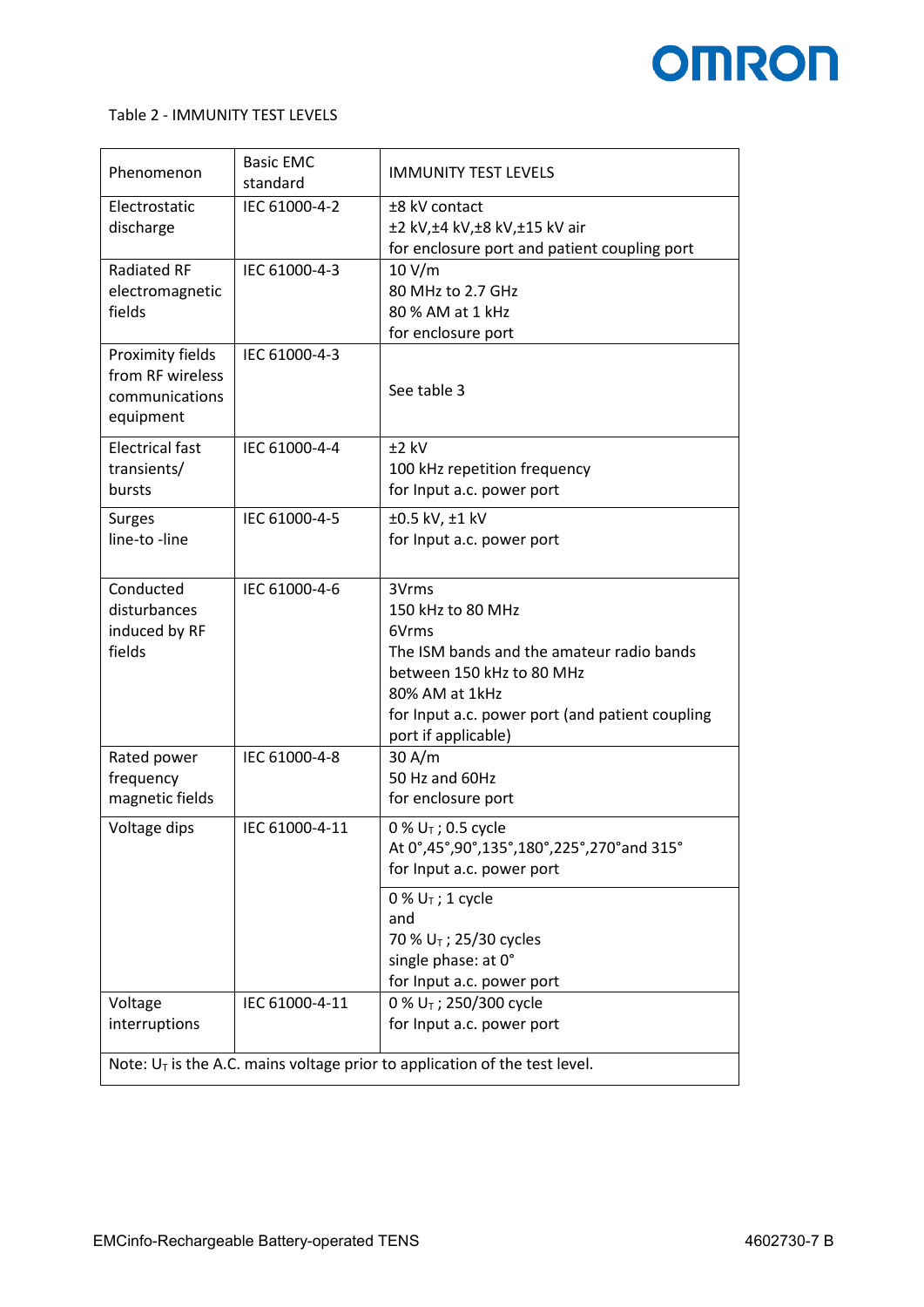## **OMRON**

#### Table 2 - IMMUNITY TEST LEVELS

| Phenomenon                                                                    | <b>Basic EMC</b><br>standard | <b>IMMUNITY TEST LEVELS</b>                        |  |  |  |  |
|-------------------------------------------------------------------------------|------------------------------|----------------------------------------------------|--|--|--|--|
| Electrostatic                                                                 | IEC 61000-4-2                | ±8 kV contact                                      |  |  |  |  |
| discharge                                                                     |                              | ±2 kV,±4 kV,±8 kV,±15 kV air                       |  |  |  |  |
|                                                                               |                              | for enclosure port and patient coupling port       |  |  |  |  |
| <b>Radiated RF</b>                                                            | IEC 61000-4-3                | 10 V/m                                             |  |  |  |  |
| electromagnetic                                                               |                              | 80 MHz to 2.7 GHz                                  |  |  |  |  |
| fields                                                                        |                              | 80 % AM at 1 kHz                                   |  |  |  |  |
| Proximity fields                                                              | IEC 61000-4-3                | for enclosure port                                 |  |  |  |  |
| from RF wireless                                                              |                              |                                                    |  |  |  |  |
| communications                                                                |                              | See table 3                                        |  |  |  |  |
| equipment                                                                     |                              |                                                    |  |  |  |  |
|                                                                               |                              |                                                    |  |  |  |  |
| <b>Electrical fast</b><br>transients/                                         | IEC 61000-4-4                | $±2$ kV<br>100 kHz repetition frequency            |  |  |  |  |
| bursts                                                                        |                              | for Input a.c. power port                          |  |  |  |  |
|                                                                               |                              |                                                    |  |  |  |  |
| <b>Surges</b>                                                                 | IEC 61000-4-5                | ±0.5 kV, ±1 kV                                     |  |  |  |  |
| line-to -line                                                                 |                              | for Input a.c. power port                          |  |  |  |  |
|                                                                               |                              |                                                    |  |  |  |  |
| Conducted                                                                     | IEC 61000-4-6                | 3Vrms                                              |  |  |  |  |
| disturbances                                                                  |                              | 150 kHz to 80 MHz                                  |  |  |  |  |
| induced by RF<br>fields                                                       |                              | 6Vrms<br>The ISM bands and the amateur radio bands |  |  |  |  |
|                                                                               |                              | between 150 kHz to 80 MHz                          |  |  |  |  |
|                                                                               |                              | 80% AM at 1kHz                                     |  |  |  |  |
|                                                                               |                              | for Input a.c. power port (and patient coupling    |  |  |  |  |
|                                                                               |                              | port if applicable)                                |  |  |  |  |
| Rated power                                                                   | IEC 61000-4-8                | 30 A/m                                             |  |  |  |  |
| frequency                                                                     |                              | 50 Hz and 60Hz                                     |  |  |  |  |
| magnetic fields                                                               |                              | for enclosure port                                 |  |  |  |  |
| Voltage dips                                                                  | IEC 61000-4-11               | 0 % $U_T$ ; 0.5 cycle                              |  |  |  |  |
|                                                                               |                              | At 0°,45°,90°,135°,180°,225°,270°and 315°          |  |  |  |  |
|                                                                               |                              | for Input a.c. power port                          |  |  |  |  |
|                                                                               |                              | 0 % $U_T$ ; 1 cycle                                |  |  |  |  |
|                                                                               |                              | and                                                |  |  |  |  |
|                                                                               |                              | 70 % U <sub>T</sub> ; 25/30 cycles                 |  |  |  |  |
|                                                                               |                              | single phase: at 0°                                |  |  |  |  |
|                                                                               |                              | for Input a.c. power port                          |  |  |  |  |
| Voltage                                                                       | IEC 61000-4-11               | 0 % $U_T$ ; 250/300 cycle                          |  |  |  |  |
| interruptions                                                                 |                              | for Input a.c. power port                          |  |  |  |  |
| Note: $U_T$ is the A.C. mains voltage prior to application of the test level. |                              |                                                    |  |  |  |  |
|                                                                               |                              |                                                    |  |  |  |  |